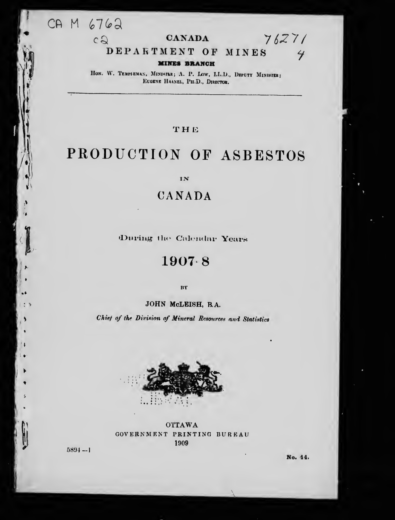CA M 6762

 $c2$ 

# **CANADA**

# $76271$  $4$

#### DEPARTMENT OF MINES

#### **MINES BRANCH**

HON. W. TEMPLEMAN, MINISTRE; A. P. LOW, LL.D., DEPUTY MINISTER; EUGENE HAANEL, PH.D., DIRECTOR.

# THE

# PRODUCTION OF ASBESTOS

IN

# CANADA

During the Calendar Years

# $1907.8$

BY

JOHN McLEISH, R.A.

Chief of the Division of Mineral Resources and Statistics



**OTTAWA** GOVERNMENT PRINTING BUREAU 1909

 $5894 - 1$ 

 $\ddot{\cdot}$ 

۹

No. 14.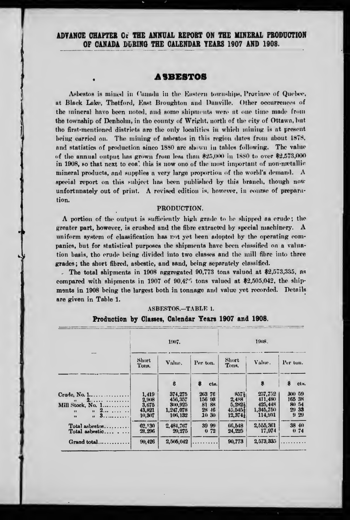ADVANCE CHAPTER OF THE ANNUAL REPORT ON THE MINERAL PRODUCTION OF CANADA DURING THE CALENDAR YEARS 1907 AND 1908.

### **ASBESTOS**

Asbestos is mined in Canada in the Eastern townships, Province of Quebec. at Black Lake, Thetford, East Broughton and Danville. Other occurrences of the mineral have been noted, and some shipments were at one time made from the township of Denholm, in the county of Wright, north of the city of Ottawa, but the first-mentioned districts are the only localities in which mining is at present being carried on. The mining of asbestos in this region dates from about 1878. and statistics of production since 1880 are shown in tables following. The value of the annual output has grown from less than \$25,000 in 1880 to over \$2,573,000 in 1908, so that next to coal this is now one of the most important of non-metallic mineral products, and supplies a very large proportion of the world's demand.  $\Lambda$ special report on this subject has been published by this branch, though now unfortunately out of print. A revised edition is, however, in course of preparation.

#### PRODUCTION.

A portion of the output is sufficiently high grade to be shipped as erude; the greater part, however, is crushed and the fibre extracted by special machinery. A uniform system of classification has not yet been adopted by the operating companies, but for statistical purposes the shipments have been classified on a valuation basis, tho erude being divided into two classes and the mill fibre into three grades; the short fibred, asbestic, and sand, being separately classified.

The total shipments in 1908 aggregated 90,773 tons valued at  $2,573,335$ , as compared with shipments in 1907 of 90.42% tons valued at \$2,505,042, the shipments in 1908 being the largest both in tonnage and value yet recorded. Details are given in Table 1.

|  |  |  |  |  | ASBESTOS.—TABLE 1. |  |
|--|--|--|--|--|--------------------|--|
|--|--|--|--|--|--------------------|--|

|                                         |                | 1907.              |                    | 1908.                       |                    |                  |  |
|-----------------------------------------|----------------|--------------------|--------------------|-----------------------------|--------------------|------------------|--|
|                                         | Short<br>Tons. | Value.             | Per ton.           | Short<br>Tons.              | Value.             | Per ton.         |  |
|                                         |                | $\bf{s}$           | 8<br>cta.          |                             |                    | cts.             |  |
| Crude, No. $1, \ldots, \ldots, \ldots$  | 1.419          | 374,275            | 263 76             | 857}                        | 257,752<br>411.480 | 300 59<br>165 38 |  |
| 2.<br>$\mathbf{H}$<br>Mill Stock, No. 1 | 2.908<br>3.675 | 456,357<br>300,925 | 156 98<br>81<br>88 | 2,488<br>$5,282\frac{1}{2}$ | 425.448            | 80 54            |  |
| $n = 2$<br>$\bullet$                    | 43,821         | 1,247,078          | 28<br>$-16$        | $45.545+$                   | 1.345.750          | 29 33            |  |
| $11 \quad 3 \quad \ldots$<br>12         | 10,307         | 106, 132           | 10 30              | $12,374\pm$                 | 114.931            | 929              |  |
| Total asbestos                          | 62,130         | 2,484,767          | 39 99              | 66.548                      | 2,555,361          | 38 40            |  |
| Total asbestic $\ldots$                 | 28.296         | 20.275             | 072                | 24.225                      | 17.974             | 0.74             |  |
| Grand total                             | 90,426         | 2,505,042          |                    | 90,773                      | 2,573,335          |                  |  |

#### Production by Classes, Calendar Years 1907 and 1908.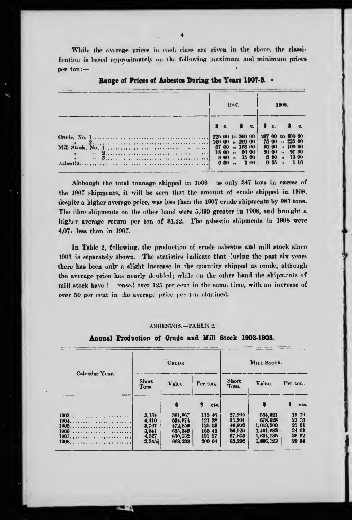While the average prices in each class are given in the above, the classification is based approximately on the following maximum and minimum prices per ton:-

|                                                                                                                                                                                                                                                              |                  |      | 1907. |                       |      | 1908     |  |                       |  |
|--------------------------------------------------------------------------------------------------------------------------------------------------------------------------------------------------------------------------------------------------------------|------------------|------|-------|-----------------------|------|----------|--|-----------------------|--|
|                                                                                                                                                                                                                                                              |                  |      |       | c. $\bullet$ c.       |      |          |  |                       |  |
| Crude, No. 1. 225 00 t<br>Mill Stock, No. 1. 2000 and the stock of $\frac{225}{57}$ extends to $\frac{100}{57}$ extends to $\frac{100}{57}$ extends to $\frac{25}{18}$ extends to $\frac{25}{18}$ extends to $\frac{25}{18}$ extends to $\frac{25}{18}$ exte | 225 00 to 300 00 |      |       |                       |      |          |  | 267 00 to 350 00      |  |
|                                                                                                                                                                                                                                                              |                  |      |       | $100(0)$ $n$ $200(0)$ |      |          |  | 75 00 . 225 00        |  |
|                                                                                                                                                                                                                                                              |                  |      |       | .163(0)               |      | (10, 00) |  | $\frac{100}{100}$ (K) |  |
|                                                                                                                                                                                                                                                              |                  |      |       | $1800 + 500$          |      |          |  | $2000$ $n$ $2000$     |  |
|                                                                                                                                                                                                                                                              |                  |      |       | $800 - 1500$          |      |          |  | $500$ $n$ 13 00       |  |
|                                                                                                                                                                                                                                                              |                  | 0.50 |       |                       | 2 00 | 0.35     |  | 116                   |  |

Range of Prices of Asbestos During the Years 1907-8. .

 $\omega_\lambda$ 

Although the total tonnage shipped in 1008 as only 347 tons in excess of the 1907 shipments, it will be seen that the amount of erude shipped in 1908, despite a higher average price, was less than the 1907 erude shipments by 981 tons. The fibre shipments on the other hand were 5,399 greater in 1908, and brought a higher average return per ton of \$1.22. The asbestic shipments in 1908 were  $4.07$ , less than in 1907.

In Table 2, following, the production of crude asbestos and mill stock since 1903 is separately shown. The statisties indicate that luring the past six years there has been only a slight increase in the quantity shipped as crude, although the average price has nearly doubled; while on the other hand the shipments of mill stock have i vased over 125 per eeut in the same time, with an increase of over 50 per cent in the average price per ton obtained.

#### ASBESTOS.-TABLE 2.

### Annual Production of Crude and Mill Stock 1903-1908.

|                |                                                     | <b>CRUDE</b>                                                    |                                                          | MILL STOCK.                                              |                                                                        |                                                    |  |
|----------------|-----------------------------------------------------|-----------------------------------------------------------------|----------------------------------------------------------|----------------------------------------------------------|------------------------------------------------------------------------|----------------------------------------------------|--|
| Calendar Year. | Short<br>Tons.                                      | Value.                                                          | Per ton.                                                 | Short<br>Tons.                                           | Value.                                                                 | Per ton.                                           |  |
|                |                                                     | 8                                                               | cts.                                                     |                                                          |                                                                        | cts.                                               |  |
| $1903$<br>1906 | 3,134<br>4.410<br>3,767<br>3,841<br>4.327<br>3,345} | 361,867<br>534.874<br>472,859<br>635, 345<br>830.632<br>669.232 | 115 46<br>121 28<br>125 53<br>165 41<br>191 97<br>200 04 | 27,995<br>31.201<br>46,902<br>56.920<br>57,803<br>63,202 | 554.021<br>678,628<br>1.013.500<br>1,401,083<br>1,654,135<br>1,886,129 | 19 79<br>21 75<br>21 61<br>24 61<br>28 62<br>29 84 |  |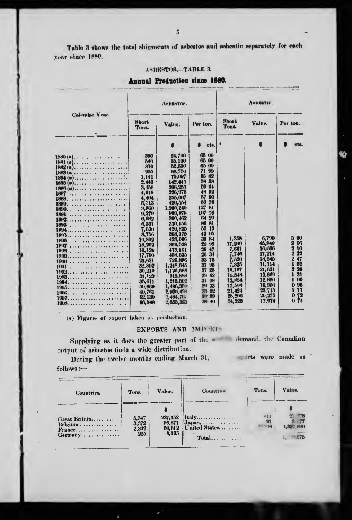Table 3 shows the total shipments of asbestos and asbestic separately for each year since 1880.

### ASBESTOS.-TABLE 3.

Annual Production since 1880.

|                                           |                | ANBENTOS.            |                      | ARBESTIC.      |        |                      |  |  |
|-------------------------------------------|----------------|----------------------|----------------------|----------------|--------|----------------------|--|--|
| Calendar Year.                            | Short<br>Tons. | Value.               | Per ton.             | Short<br>Tons. | Value. | Per ton.             |  |  |
|                                           |                |                      | ots.                 |                |        | cts.                 |  |  |
|                                           | 380            | 24.700               | 65 00                |                |        |                      |  |  |
| $1581(a)$                                 | 540            | 35,100               | GS.<br>-00           |                |        |                      |  |  |
| $1882(a)$                                 | 810            | 52,050               | 65 00                |                |        |                      |  |  |
| $1883(a), \ldots, \ldots, \ldots, \ldots$ | 965            | 68,750               | 71<br>99             |                |        |                      |  |  |
|                                           | 1.141          | 75.097               | 65<br>N <sup>2</sup> |                |        |                      |  |  |
| $1885(a)$ ,                               | 2,440          | 142.441              | 58 38                |                |        |                      |  |  |
| $1886(a)$                                 | 3,45H          | 206, 251             | M<br>64<br>48<br>92  |                |        |                      |  |  |
| 1887                                      | 4.619          | 226.976              | 57 90                |                |        |                      |  |  |
| 1888                                      | 4.404          | 255,007              | 78<br>69             |                |        |                      |  |  |
|                                           | 6,113          | 426,554<br>1.260,240 | 81<br>127            |                |        |                      |  |  |
| 1890                                      | 9,860<br>9.279 | 999.878              | 107 76               |                |        |                      |  |  |
|                                           | 6.0N2          | 390, 462             | 20<br>64             |                |        |                      |  |  |
|                                           | 6,331          | 310.156              | 81<br>86             |                |        |                      |  |  |
| 1893<br>.                                 | 7.630          | 420,825              | 55 15                |                |        |                      |  |  |
| $\cdots$                                  | 8.756          | 368,175              | 42<br>$\omega$       |                |        |                      |  |  |
| 1896<br>$\sim$                            | 10,892         | 423,066              | 38<br>84             | 1.358          | 6.790  | ñ<br>$\bf{00}$       |  |  |
| <b>1897</b>                               | 13,202         | 399.528              | 21<br>90             | 17.240         | 45,840 | <b>G6</b><br>т       |  |  |
| 1898                                      | 16.124         | 475,131              | 29<br>47             | 7.661          | 16,066 | 10<br>2              |  |  |
| $1890$                                    | 17,700         | 468, 635             | 34<br>26             | 7.746          | 17.214 | 22<br>$\overline{2}$ |  |  |
| $1900$                                    | 21,621         | 729.886              | 33<br>76             | 7.520          | 18.545 | 47<br>2              |  |  |
| 1901 .<br>.                               | 32,892         | 1.248,645            | 96<br>37             | 7.325          | 11.114 | 52                   |  |  |
| $1902$ ,                                  | 30.219         | 1.126.688            | 37<br>28             | 10.197         | 21,631 | 20                   |  |  |
|                                           | 31.120         | 915,888              | 29<br>42             | 10.548         | 13,869 | 31                   |  |  |
|                                           | 35,611         | 1.213,502            | 08<br>34             | 12.M54         | 12.850 | 00                   |  |  |
|                                           | 50,669         | 1.486.359            | 33<br>29             | 17.594         | 16.900 | 96<br>0              |  |  |
|                                           | (ii), 761      | 2.136.42*            | 52<br>t en           | 21.424         | 23.715 | $\mathbf{11}$<br>1   |  |  |
|                                           | 62,130         | 2,484,767            | 99                   | 28, 296        | 20.275 | 72<br>Ω              |  |  |
|                                           | 66,048         | 2.555.361            | <b>SM 40</b>         | 24.225         | 17.974 | 74<br>0              |  |  |

(a) Figures of export taken as preduction.

#### EXPORTS AND IMPORTS

Supplying as it does the greater part of the w demand, the Canadian output of asbestos finds a wide distribution.

During the twelve months ending March 31.

ports were made as

 $\mathcal{L}$ 

 $follows :=$ 

| Countries.               | Tons.                   | Value.                      | Countries.                                                                         | Tons.            | Value.                         |
|--------------------------|-------------------------|-----------------------------|------------------------------------------------------------------------------------|------------------|--------------------------------|
| Great Britain<br>Belgium | 5.347<br>3,372<br>2,332 | 237,152<br>86,871<br>50.612 | $Italy \ldots \ldots$<br>$\mathbf{Japun}, \ldots, \ldots, \ldots$<br>United States | 814<br>$45 - 18$ | $21 - 8$<br>3,177<br>1,322,890 |
| $Germany \ldots $        | 225                     | 8,195                       | Total                                                                              |                  | 1. 40.575                      |

×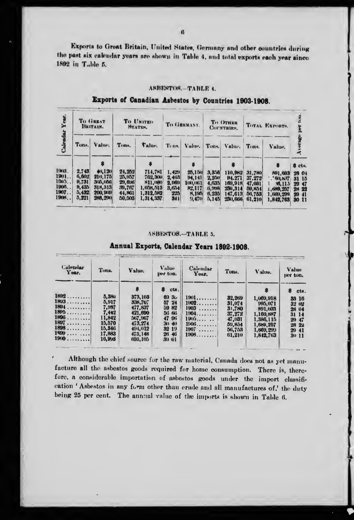Exports to Great Britain, United States, Germany and other countries during the past six calcudar years are shown in Table 4, and total exports each year since 1892 in Table 5.

#### ASBESTOS.-TABLE 4.

# Exports of Canadian Asbestos by Countries 1903-1908.

| Year.                                             |                                                           | To GREAT<br>BRITAIN.                                                    |                                                           | To UNITED.<br><b>NTATION.</b>                                        |                                                | TO GERMANY.                                             |                                                    | <b>To OTHER</b><br>COUNTRIES.                                  |                                                                  | TOTAL EXPORTS.                                                       |                                                                  |
|---------------------------------------------------|-----------------------------------------------------------|-------------------------------------------------------------------------|-----------------------------------------------------------|----------------------------------------------------------------------|------------------------------------------------|---------------------------------------------------------|----------------------------------------------------|----------------------------------------------------------------|------------------------------------------------------------------|----------------------------------------------------------------------|------------------------------------------------------------------|
|                                                   | Tons.                                                     | Value,                                                                  | Tons.                                                     | Value.                                                               | Tons.                                          | Value, Tons.                                            |                                                    | Value.                                                         | Tons.                                                            | Value.                                                               |                                                                  |
| 1908.<br>1901. .<br>190.3<br>1906<br>1907<br>1900 | 2.743<br>6,602<br><b>H.731</b><br>9,435<br>5,432<br>5,221 | 40,120<br>210.175<br>305,056<br>318,313<br><b>200, 90XH</b><br>288, 290 | 24,252<br>25,957<br>29, 6tM<br>39,767<br>44,861<br>50.503 | 714,781<br>762,300<br>811,000<br>1,058,513<br>1,312,582<br>1.314.337 | 1.429<br>2,403<br>2.069<br>3.054<br>225<br>341 | 25,150<br>94.141<br>100,061<br>82.117<br>8,195<br>9,470 | 3,356<br>2.250<br>4.635<br>6.998<br>6,235<br>5,145 | 110.982<br>P4.271<br>169,918<br>230,314<br>147.613<br>230, 666 | 31.780<br>37, 272<br>47,031<br><b>50,854</b><br>56,753<br>61.210 | 891.033<br>.90.837<br>M.113<br>1, 689, 257<br>1.000.200<br>1,842,763 | S cts.<br>28 04<br>31 15<br>29 47<br>28 22<br>$20 - 11$<br>30 11 |

#### ASBESTOS.-TABLE 5.

| Calendar<br>Year. | Tons.  | Value.  | Value<br>per ton.    | Calendar<br>Year. | Ton <sub>s</sub> . | Value.    | <b>Value</b><br>per ton. |
|-------------------|--------|---------|----------------------|-------------------|--------------------|-----------|--------------------------|
|                   |        |         | cts.                 |                   |                    |           | cts.                     |
| 1892              | 5,380  | 373,103 | 69<br>3 <sub>0</sub> | 1901              | 32,269             | 1,069,918 | 33 16                    |
| 1893              | 5.917  | 338,707 | 57<br>24             | 1902              | 31,074             | 995.071   | 32 <sup>°</sup><br>- 02  |
| 1804              | 7.987  | 477,837 | <b>DO</b><br>82      | 1903<br>          | 31,780             | 891.033   | 28 04                    |
| $18P_0$           | 7.442  | 421.690 | 56 66                | 1904              | 37.272             | 1,160,887 | 31 14                    |
| 1896              | 11.842 | 567,967 | 47 96                | 1900              | 47,031             | 1,386,115 | 29<br>$-47$              |
| 1897              | 15.570 | 473.274 | 30.40                | 1006              | 59,854             | 1,689,257 | 28 22                    |
| 1898              | 15.346 | 494.012 | 32 19                | 1907<br>.         | 56,753             | 1,669,299 | 29 41                    |
| 1900              | 17,883 | 473.148 | 26 46                | 1908              | 61.210             | 1,842,763 | 3011                     |
| 1900              | 16.958 | 693.105 | 39 61                |                   |                    |           |                          |

## Annual Exports, Calendar Veare 1800, 1008

Although the chief source for the raw material, Canada does not as yet manufacture all the asbestos goods required for home consumption. There is, therefore, a considerable importation of asbestos goods under the import classification 'Asbestos in any form other than erude and all manufactures of,' the duty being 25 per cent. The annual value of the imports is shown in Table 6.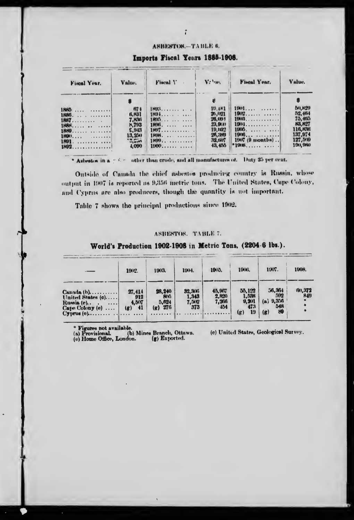#### АЯВЕЯТОВ. - ТАВЬЕ 6.

Imports Fiscal Years 1885-1908.

| Fiscal Year. | Value.       | Fiscal Y | Vehm.    | Fiscal Year.      | Value.  |
|--------------|--------------|----------|----------|-------------------|---------|
|              |              |          |          |                   |         |
| <b>1880 </b> | 674          | 1895     | 19.481   | $1001$            | 80,820  |
| 1886. 1      | 6,831        | 1894     | 26,021   | 1902              | 52.484  |
| $1887$       | <b>7.836</b> | 1895     | 26,001   | 1906              | 75.4th  |
| 1888.        | N.793        | 1896     | 23, 9ta) | 1904.             | 83,827  |
| 1889.        | E.943        | 1807     | 19,182   | $1906.$           | 116, KW |
|              | 13,250       | 1808.    | 26,389   | $1906$            | 137,974 |
| 1891.        | $u_1 = u_1$  | $1899$   | 32,1107  | $1907$ (9 months) | 127,500 |
| 1892. 1      | 4.000        | 1000     | 43, 455  |                   | 190,960 |

\* Asbestos in a pole of other than crude, and all manufactures of. Duty 25 per cent.

Ontside of Canada the chief asbestos producing country is Russia, whose output in 1907 is reported as 9,356 metric tons. The United States, Cape Colony, and Cyprus are also producers, though the quantity is not important.

Table 7 shows the principal productions since 1902.

#### ASBESTOS. TABLE 7.

World's Production 1902-1908 in Metric Tons, (2204.6 lbs.).

|                                                                                                                    | 1902.                                                       | 1903.                                                      | 1904.                               | 1905.                             | 1906.                                        | 1907.                                          | 1908.            |
|--------------------------------------------------------------------------------------------------------------------|-------------------------------------------------------------|------------------------------------------------------------|-------------------------------------|-----------------------------------|----------------------------------------------|------------------------------------------------|------------------|
| $Canada(b).$<br>United States (c)<br>Russia (e)<br>Cape Colony (e)<br>$Cyprule(e), \ldots, \ldots, \ldots, \ldots$ | 27,414<br>912<br>4.507<br>41<br>$\left( \mathbf{g} \right)$ | 28,240<br><b>BOG</b><br>5.624<br>276<br>$(\mathbf{g})$<br> | 32.306<br>1.343<br>7,512<br>373<br> | 45,967<br>2,820<br>7,266<br>$+54$ | 55,122<br>1,538<br>9,201<br>473<br>19<br>(g) | 56,364<br>592<br>(a) 9,356<br>548<br>(g)<br>89 | f(0), 372<br>849 |

• Figures not available.<br>
(a) Provisional. (b) Mines Branch, Ottawa.<br>
(e) Home Office, London. (g) Exported.

(c) United States, Geological Survey.